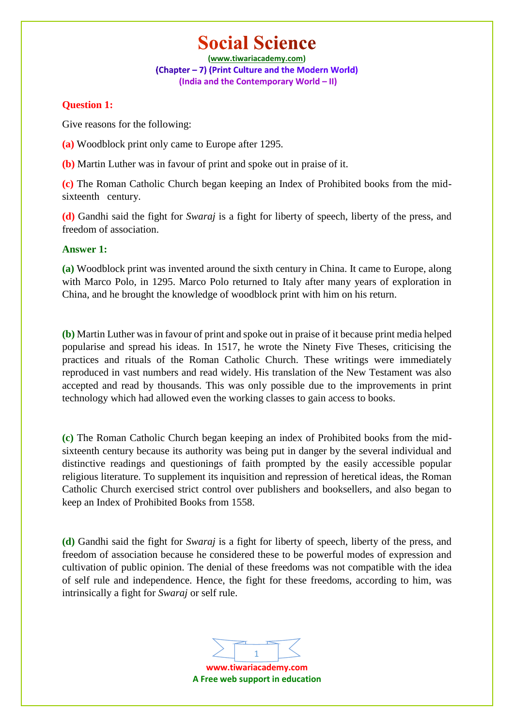**(www.tiwariacademy.com)** (Chapter - 7) (Print Culture and the Modern World) **(India and the Contemporary World – II)**

### **Question 1:**

Give reasons for the following:

- **(a)** Woodblock print only came to Europe after 1295.
- **(b)** Martin Luther was in favour of print and spoke out in praise of it.

**(c)** The Roman Catholic Church began keeping an Index of Prohibited books from the midsixteenth century.

**(d)** Gandhi said the fight for *Swaraj* is a fight for liberty of speech, liberty of the press, and freedom of association.

### **Answer 1:**

**(a)** Woodblock print was invented around the sixth century in China. It came to Europe, along with Marco Polo, in 1295. Marco Polo returned to Italy after many years of exploration in China, and he brought the knowledge of woodblock print with him on his return.

**(b)** Martin Luther was in favour of print and spoke out in praise of it because print media helped popularise and spread his ideas. In 1517, he wrote the Ninety Five Theses, criticising the practices and rituals of the Roman Catholic Church. These writings were immediately reproduced in vast numbers and read widely. His translation of the New Testament was also accepted and read by thousands. This was only possible due to the improvements in print technology which had allowed even the working classes to gain access to books.

**(c)** The Roman Catholic Church began keeping an index of Prohibited books from the midsixteenth century because its authority was being put in danger by the several individual and distinctive readings and questionings of faith prompted by the easily accessible popular religious literature. To supplement its inquisition and repression of heretical ideas, the Roman Catholic Church exercised strict control over publishers and booksellers, and also began to keep an Index of Prohibited Books from 1558.

**(d)** Gandhi said the fight for *Swaraj* is a fight for liberty of speech, liberty of the press, and freedom of association because he considered these to be powerful modes of expression and cultivation of public opinion. The denial of these freedoms was not compatible with the idea of self rule and independence. Hence, the fight for these freedoms, according to him, was intrinsically a fight for *Swaraj* or self rule.

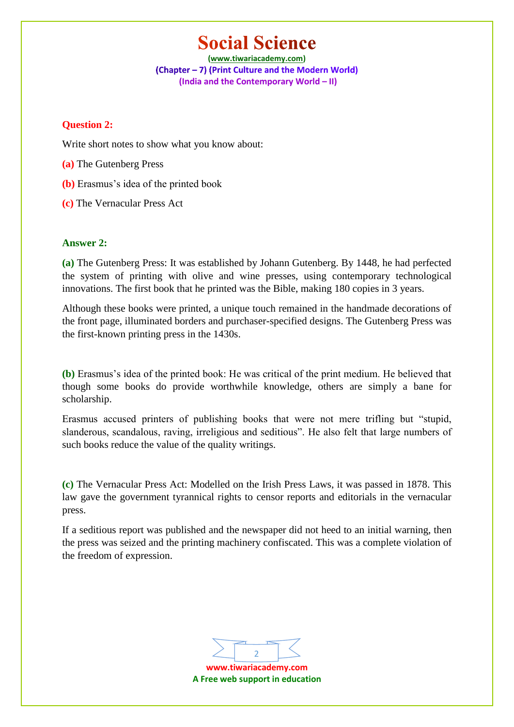**(www.tiwariacademy.com)** (Chapter - 7) (Print Culture and the Modern World) **(India and the Contemporary World – II)**

### **Question 2:**

Write short notes to show what you know about:

- **(a)** The Gutenberg Press
- **(b)** Erasmus's idea of the printed book
- **(c)** The Vernacular Press Act

### **Answer 2:**

**(a)** The Gutenberg Press: It was established by Johann Gutenberg. By 1448, he had perfected the system of printing with olive and wine presses, using contemporary technological innovations. The first book that he printed was the Bible, making 180 copies in 3 years.

Although these books were printed, a unique touch remained in the handmade decorations of the front page, illuminated borders and purchaser-specified designs. The Gutenberg Press was the first-known printing press in the 1430s.

**(b)** Erasmus's idea of the printed book: He was critical of the print medium. He believed that though some books do provide worthwhile knowledge, others are simply a bane for scholarship.

Erasmus accused printers of publishing books that were not mere trifling but "stupid, slanderous, scandalous, raving, irreligious and seditious". He also felt that large numbers of such books reduce the value of the quality writings.

**(c)** The Vernacular Press Act: Modelled on the Irish Press Laws, it was passed in 1878. This law gave the government tyrannical rights to censor reports and editorials in the vernacular press.

If a seditious report was published and the newspaper did not heed to an initial warning, then the press was seized and the printing machinery confiscated. This was a complete violation of the freedom of expression.

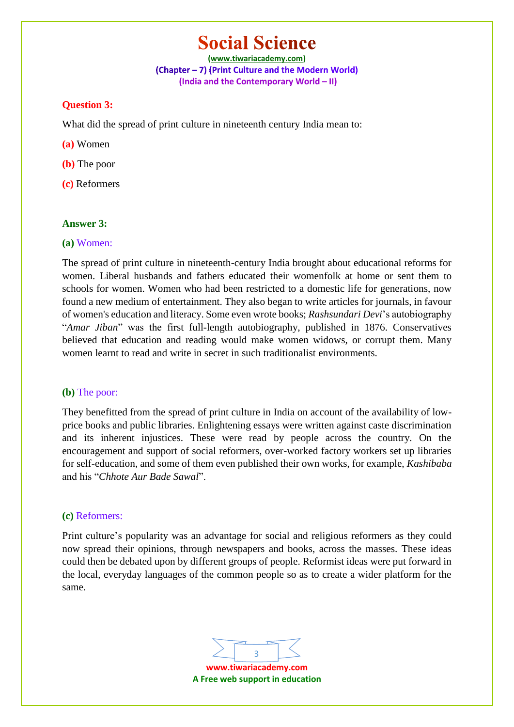**(www.tiwariacademy.com)** (Chapter - 7) (Print Culture and the Modern World) **(India and the Contemporary World – II)**

#### **Question 3:**

What did the spread of print culture in nineteenth century India mean to:

**(a)** Women

**(b)** The poor

**(c)** Reformers

#### **Answer 3:**

#### **(a)** Women:

The spread of print culture in nineteenth-century India brought about educational reforms for women. Liberal husbands and fathers educated their womenfolk at home or sent them to schools for women. Women who had been restricted to a domestic life for generations, now found a new medium of entertainment. They also began to write articles for journals, in favour of women's education and literacy. Some even wrote books; *Rashsundari Devi*'s autobiography "*Amar Jiban*" was the first full-length autobiography, published in 1876. Conservatives believed that education and reading would make women widows, or corrupt them. Many women learnt to read and write in secret in such traditionalist environments.

#### **(b)** The poor:

They benefitted from the spread of print culture in India on account of the availability of lowprice books and public libraries. Enlightening essays were written against caste discrimination and its inherent injustices. These were read by people across the country. On the encouragement and support of social reformers, over-worked factory workers set up libraries for self-education, and some of them even published their own works, for example, *Kashibaba* and his "*Chhote Aur Bade Sawal*".

### **(c)** Reformers:

Print culture's popularity was an advantage for social and religious reformers as they could now spread their opinions, through newspapers and books, across the masses. These ideas could then be debated upon by different groups of people. Reformist ideas were put forward in the local, everyday languages of the common people so as to create a wider platform for the same.

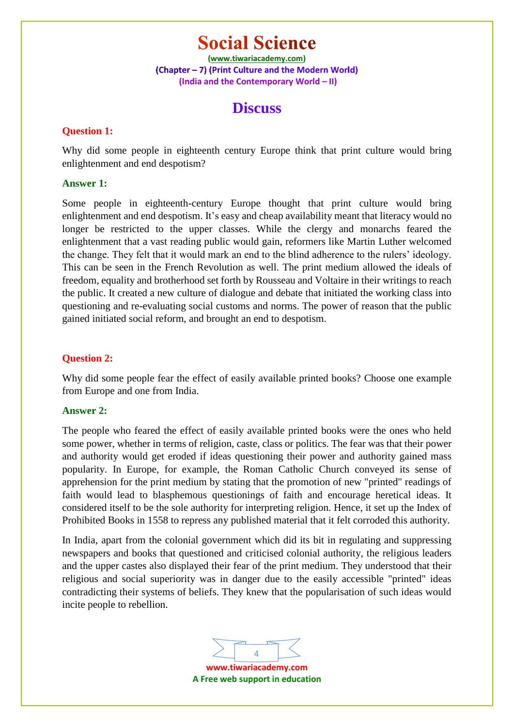**(www.tiwariacademy.com)** (Chapter - 7) (Print Culture and the Modern World) **(India and the Contemporary World – II)**

### **Discuss**

### **Question 1:**

Why did some people in eighteenth century Europe think that print culture would bring enlightenment and end despotism?

### **Answer 1:**

Some people in eighteenth-century Europe thought that print culture would bring enlightenment and end despotism. It's easy and cheap availability meant that literacy would no longer be restricted to the upper classes. While the clergy and monarchs feared the enlightenment that a vast reading public would gain, reformers like Martin Luther welcomed the change. They felt that it would mark an end to the blind adherence to the rulers' ideology. This can be seen in the French Revolution as well. The print medium allowed the ideals of freedom, equality and brotherhood set forth by Rousseau and Voltaire in their writings to reach the public. It created a new culture of dialogue and debate that initiated the working class into questioning and re-evaluating social customs and norms. The power of reason that the public gained initiated social reform, and brought an end to despotism.

### **Question 2:**

Why did some people fear the effect of easily available printed books? Choose one example from Europe and one from India.

### **Answer 2:**

The people who feared the effect of easily available printed books were the ones who held some power, whether in terms of religion, caste, class or politics. The fear was that their power and authority would get eroded if ideas questioning their power and authority gained mass popularity. In Europe, for example, the Roman Catholic Church conveyed its sense of apprehension for the print medium by stating that the promotion of new "printed" readings of faith would lead to blasphemous questionings of faith and encourage heretical ideas. It considered itself to be the sole authority for interpreting religion. Hence, it set up the Index of Prohibited Books in 1558 to repress any published material that it felt corroded this authority.

In India, apart from the colonial government which did its bit in regulating and suppressing newspapers and books that questioned and criticised colonial authority, the religious leaders and the upper castes also displayed their fear of the print medium. They understood that their religious and social superiority was in danger due to the easily accessible "printed" ideas contradicting their systems of beliefs. They knew that the popularisation of such ideas would incite people to rebellion.